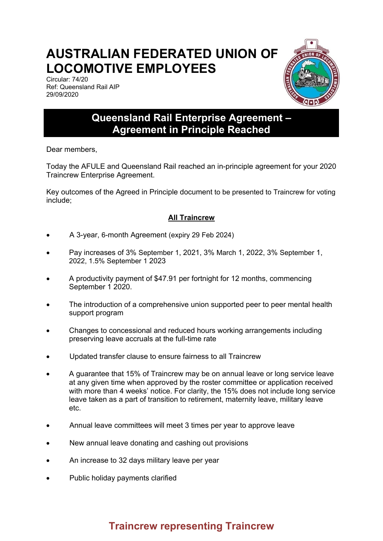# **AUSTRALIAN FEDERATED UNION OF LOCOMOTIVE EMPLOYEES**

Circular: 74/20 Ref: Queensland Rail AIP 29/09/2020



## **Queensland Rail Enterprise Agreement – Agreement in Principle Reached**

Dear members,

Today the AFULE and Queensland Rail reached an in-principle agreement for your 2020 Traincrew Enterprise Agreement.

Key outcomes of the Agreed in Principle document to be presented to Traincrew for voting include;

### **All Traincrew**

- A 3-year, 6-month Agreement (expiry 29 Feb 2024)
- Pay increases of 3% September 1, 2021, 3% March 1, 2022, 3% September 1, 2022, 1.5% September 1 2023
- A productivity payment of \$47.91 per fortnight for 12 months, commencing September 1 2020.
- The introduction of a comprehensive union supported peer to peer mental health support program
- Changes to concessional and reduced hours working arrangements including preserving leave accruals at the full-time rate
- Updated transfer clause to ensure fairness to all Traincrew
- A guarantee that 15% of Traincrew may be on annual leave or long service leave at any given time when approved by the roster committee or application received with more than 4 weeks' notice. For clarity, the 15% does not include long service leave taken as a part of transition to retirement, maternity leave, military leave etc.
- Annual leave committees will meet 3 times per year to approve leave
- New annual leave donating and cashing out provisions
- An increase to 32 days military leave per year
- Public holiday payments clarified

# **Traincrew representing Traincrew**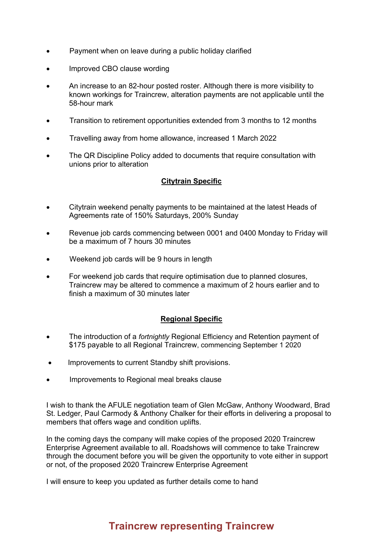- Payment when on leave during a public holiday clarified
- Improved CBO clause wording
- An increase to an 82-hour posted roster. Although there is more visibility to known workings for Traincrew, alteration payments are not applicable until the 58-hour mark
- Transition to retirement opportunities extended from 3 months to 12 months
- Travelling away from home allowance, increased 1 March 2022
- The QR Discipline Policy added to documents that require consultation with unions prior to alteration

#### **Citytrain Specific**

- Citytrain weekend penalty payments to be maintained at the latest Heads of Agreements rate of 150% Saturdays, 200% Sunday
- Revenue job cards commencing between 0001 and 0400 Monday to Friday will be a maximum of 7 hours 30 minutes
- Weekend job cards will be 9 hours in length
- For weekend job cards that require optimisation due to planned closures, Traincrew may be altered to commence a maximum of 2 hours earlier and to finish a maximum of 30 minutes later

### **Regional Specific**

- The introduction of a *fortnightly* Regional Efficiency and Retention payment of \$175 payable to all Regional Traincrew, commencing September 1 2020
- Improvements to current Standby shift provisions.
- Improvements to Regional meal breaks clause

I wish to thank the AFULE negotiation team of Glen McGaw, Anthony Woodward, Brad St. Ledger, Paul Carmody & Anthony Chalker for their efforts in delivering a proposal to members that offers wage and condition uplifts.

In the coming days the company will make copies of the proposed 2020 Traincrew Enterprise Agreement available to all. Roadshows will commence to take Traincrew through the document before you will be given the opportunity to vote either in support or not, of the proposed 2020 Traincrew Enterprise Agreement

I will ensure to keep you updated as further details come to hand

## **Traincrew representing Traincrew**